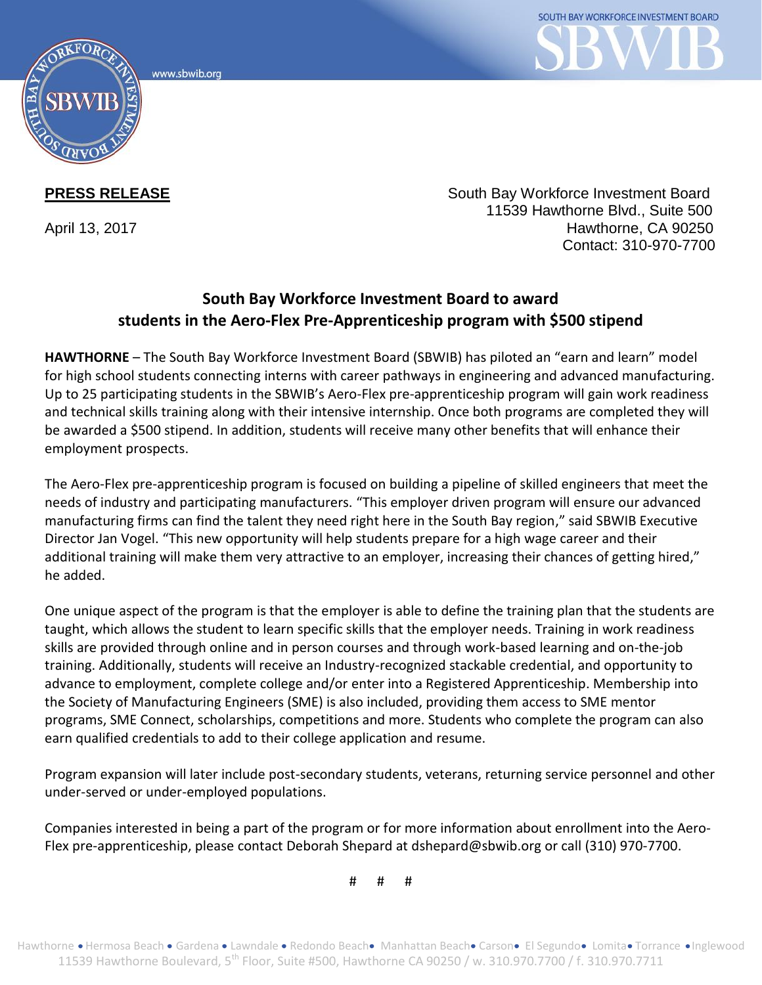www.sbwib.ord



**PRESS RELEASE** South Bay Workforce Investment Board 11539 Hawthorne Blvd., Suite 500 April 13, 2017 **Hawthorne, CA 90250** Contact: 310-970-7700

## **South Bay Workforce Investment Board to award students in the Aero-Flex Pre-Apprenticeship program with \$500 stipend**

**HAWTHORNE** – The South Bay Workforce Investment Board (SBWIB) has piloted an "earn and learn" model for high school students connecting interns with career pathways in engineering and advanced manufacturing. Up to 25 participating students in the SBWIB's Aero-Flex pre-apprenticeship program will gain work readiness and technical skills training along with their intensive internship. Once both programs are completed they will be awarded a \$500 stipend. In addition, students will receive many other benefits that will enhance their employment prospects.

The Aero-Flex pre-apprenticeship program is focused on building a pipeline of skilled engineers that meet the needs of industry and participating manufacturers. "This employer driven program will ensure our advanced manufacturing firms can find the talent they need right here in the South Bay region," said SBWIB Executive Director Jan Vogel. "This new opportunity will help students prepare for a high wage career and their additional training will make them very attractive to an employer, increasing their chances of getting hired," he added.

One unique aspect of the program is that the employer is able to define the training plan that the students are taught, which allows the student to learn specific skills that the employer needs. Training in work readiness skills are provided through online and in person courses and through work-based learning and on-the-job training. Additionally, students will receive an Industry-recognized stackable credential, and opportunity to advance to employment, complete college and/or enter into a Registered Apprenticeship. Membership into the Society of Manufacturing Engineers (SME) is also included, providing them access to SME mentor programs, SME Connect, scholarships, competitions and more. Students who complete the program can also earn qualified credentials to add to their college application and resume.

Program expansion will later include post-secondary students, veterans, returning service personnel and other under-served or under-employed populations.

Companies interested in being a part of the program or for more information about enrollment into the Aero-Flex pre-apprenticeship, please contact Deborah Shepard at dshepard@sbwib.org or call (310) 970-7700.

# # #